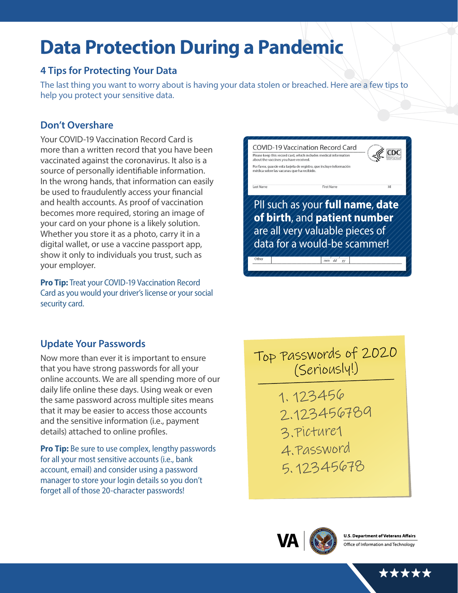# **Data Protection During a Pandemic**

## **4 Tips for Protecting Your Data**

The last thing you want to worry about is having your data stolen or breached. Here are a few tips to help you protect your sensitive data.

## **Don't Overshare**

Your COVID-19 Vaccination Record Card is more than a written record that you have been vaccinated against the coronavirus. It also is a source of personally identifiable information. In the wrong hands, that information can easily be used to fraudulently access your financial and health accounts. As proof of vaccination becomes more required, storing an image of your card on your phone is a likely solution. Whether you store it as a photo, carry it in a digital wallet, or use a vaccine passport app, show it only to individuals you trust, such as your employer.

**Pro Tip:** Treat your COVID-19 Vaccination Record Card as you would your driver's license or your social security card.



#### **Update Your Passwords**

Now more than ever it is important to ensure that you have strong passwords for all your online accounts. We are all spending more of our daily life online these days. Using weak or even the same password across multiple sites means that it may be easier to access those accounts and the sensitive information (i.e., payment details) attached to online profiles.

**Pro Tip:** Be sure to use complex, lengthy passwords for all your most sensitive accounts (i.e., bank account, email) and consider using a password manager to store your login details so you don't forget all of those 20-character passwords!

Top Passwords of 2020 (Seriously!)

- 1. 123456 2.123456789 3.Picture1 4.Password
	- 5. 12345678